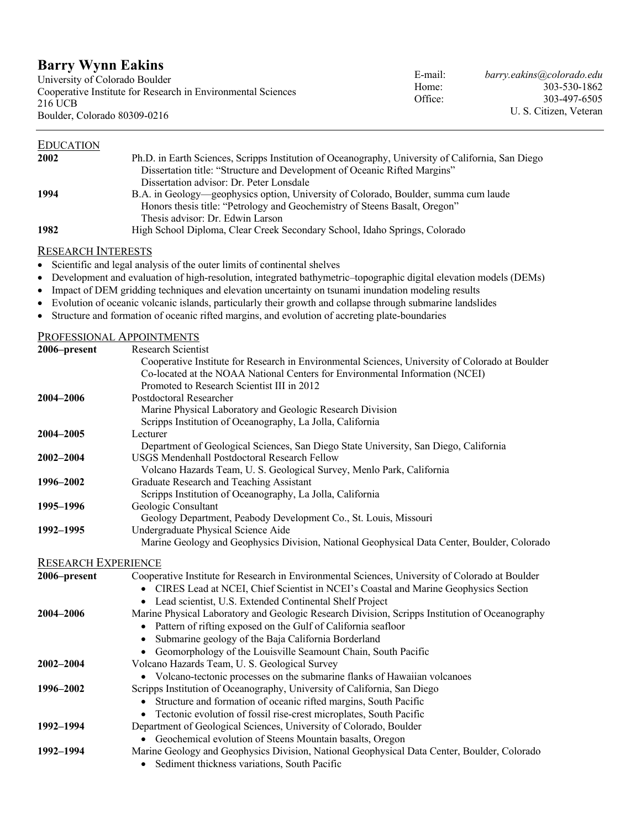# **Barry Wynn Eakins**

University of Colorado Boulder Cooperative Institute for Research in Environmental Sciences 216 UCB Boulder, Colorado 80309-0216

| <b>EDUCATION</b> |                                                                                                   |
|------------------|---------------------------------------------------------------------------------------------------|
| 2002             | Ph.D. in Earth Sciences, Scripps Institution of Oceanography, University of California, San Diego |
|                  | Dissertation title: "Structure and Development of Oceanic Rifted Margins"                         |
|                  | Dissertation advisor: Dr. Peter Lonsdale                                                          |
| 1994             | B.A. in Geology—geophysics option, University of Colorado, Boulder, summa cum laude               |
|                  | Honors thesis title: "Petrology and Geochemistry of Steens Basalt, Oregon"                        |
|                  | Thesis advisor: Dr. Edwin Larson                                                                  |
| 1982             | High School Diploma, Clear Creek Secondary School, Idaho Springs, Colorado                        |
|                  |                                                                                                   |

RESEARCH INTERESTS

- Scientific and legal analysis of the outer limits of continental shelves
- Development and evaluation of high-resolution, integrated bathymetric–topographic digital elevation models (DEMs)
- Impact of DEM gridding techniques and elevation uncertainty on tsunami inundation modeling results
- Evolution of oceanic volcanic islands, particularly their growth and collapse through submarine landslides
- Structure and formation of oceanic rifted margins, and evolution of accreting plate-boundaries

| PROFESSIONAL APPOINTMENTS  |                                                                                                 |
|----------------------------|-------------------------------------------------------------------------------------------------|
| 2006–present               | <b>Research Scientist</b>                                                                       |
|                            | Cooperative Institute for Research in Environmental Sciences, University of Colorado at Boulder |
|                            | Co-located at the NOAA National Centers for Environmental Information (NCEI)                    |
|                            | Promoted to Research Scientist III in 2012                                                      |
| 2004-2006                  | Postdoctoral Researcher                                                                         |
|                            | Marine Physical Laboratory and Geologic Research Division                                       |
|                            | Scripps Institution of Oceanography, La Jolla, California                                       |
| 2004-2005                  | Lecturer                                                                                        |
|                            | Department of Geological Sciences, San Diego State University, San Diego, California            |
| 2002-2004                  | USGS Mendenhall Postdoctoral Research Fellow                                                    |
|                            | Volcano Hazards Team, U. S. Geological Survey, Menlo Park, California                           |
| 1996-2002                  | Graduate Research and Teaching Assistant                                                        |
|                            | Scripps Institution of Oceanography, La Jolla, California                                       |
| 1995-1996                  | Geologic Consultant                                                                             |
|                            | Geology Department, Peabody Development Co., St. Louis, Missouri                                |
| 1992-1995                  | Undergraduate Physical Science Aide                                                             |
|                            | Marine Geology and Geophysics Division, National Geophysical Data Center, Boulder, Colorado     |
| <b>RESEARCH EXPERIENCE</b> |                                                                                                 |
| 2006-present               | Cooperative Institute for Research in Environmental Sciences, University of Colorado at Boulder |
|                            | CIRES Lead at NCEI, Chief Scientist in NCEI's Coastal and Marine Geophysics Section             |
|                            | • Lead scientist, U.S. Extended Continental Shelf Project                                       |
| 2004-2006                  | Marine Physical Laboratory and Geologic Research Division, Scripps Institution of Oceanography  |
|                            | Pattern of rifting exposed on the Gulf of California seafloor<br>$\bullet$                      |
|                            | Submarine geology of the Baja California Borderland<br>$\bullet$                                |
|                            | • Geomorphology of the Louisville Seamount Chain, South Pacific                                 |
| 2002-2004                  | Volcano Hazards Team, U. S. Geological Survey                                                   |
|                            | • Volcano-tectonic processes on the submarine flanks of Hawaiian volcanoes                      |
| 1996-2002                  | Scripps Institution of Oceanography, University of California, San Diego                        |
|                            | Structure and formation of oceanic rifted margins, South Pacific<br>$\bullet$                   |
|                            | Tectonic evolution of fossil rise-crest microplates, South Pacific                              |
| 1992-1994                  | Department of Geological Sciences, University of Colorado, Boulder                              |
|                            | • Geochemical evolution of Steens Mountain basalts, Oregon                                      |
| 1992-1994                  | Marine Geology and Geophysics Division, National Geophysical Data Center, Boulder, Colorado     |
|                            | • Sediment thickness variations, South Pacific                                                  |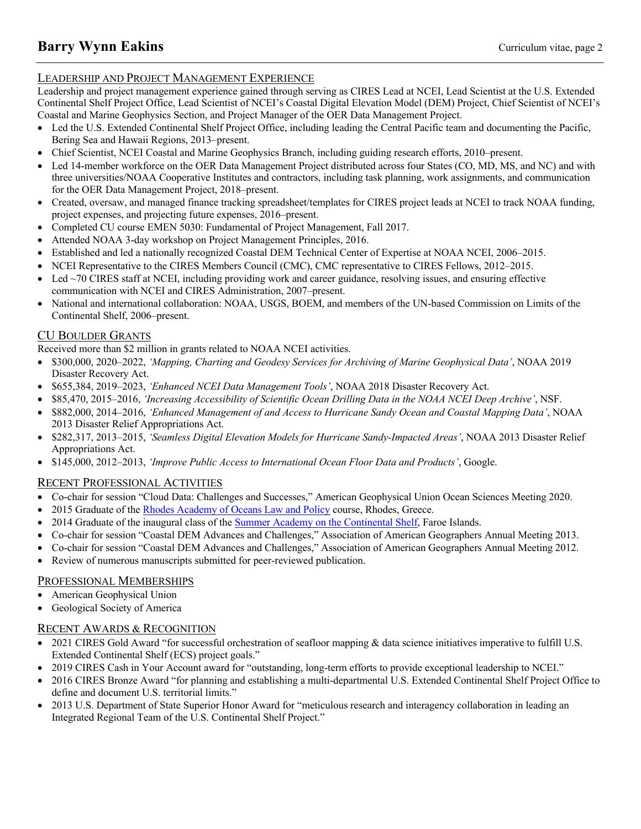# LEADERSHIP AND PROJECT MANAGEMENT EXPERIENCE

Leadership and project management experience gained through serving as CIRES Lead at NCEI, Lead Scientist at the U.S. Extended Continental Shelf Project Office, Lead Scientist of NCEI's Coastal Digital Elevation Model (DEM) Project, Chief Scientist of NCEI's Coastal and Marine Geophysics Section, and Project Manager of the OER Data Management Project.

- Led the U.S. Extended Continental Shelf Project Office, including leading the Central Pacific team and documenting the Pacific, Bering Sea and Hawaii Regions, 2013–present.
- Chief Scientist, NCEI Coastal and Marine Geophysics Branch, including guiding research efforts, 2010–present.
- Led 14-member workforce on the OER Data Management Project distributed across four States (CO, MD, MS, and NC) and with three universities/NOAA Cooperative Institutes and contractors, including task planning, work assignments, and communication for the OER Data Management Project, 2018–present.
- Created, oversaw, and managed finance tracking spreadsheet/templates for CIRES project leads at NCEI to track NOAA funding, project expenses, and projecting future expenses, 2016–present.
- Completed CU course EMEN 5030: Fundamental of Project Management, Fall 2017.
- Attended NOAA 3-day workshop on Project Management Principles, 2016.
- Established and led a nationally recognized Coastal DEM Technical Center of Expertise at NOAA NCEI, 2006–2015.
- NCEI Representative to the CIRES Members Council (CMC), CMC representative to CIRES Fellows, 2012–2015.
- Led  $\sim$ 70 CIRES staff at NCEI, including providing work and career guidance, resolving issues, and ensuring effective communication with NCEI and CIRES Administration, 2007–present.
- National and international collaboration: NOAA, USGS, BOEM, and members of the UN-based Commission on Limits of the Continental Shelf, 2006–present.

# CU BOULDER GRANTS

Received more than \$2 million in grants related to NOAA NCEI activities.

- \$300,000, 2020–2022, *'Mapping, Charting and Geodesy Services for Archiving of Marine Geophysical Data'*, NOAA 2019 Disaster Recovery Act.
- \$655,384, 2019–2023, *'Enhanced NCEI Data Management Tools'*, NOAA 2018 Disaster Recovery Act.
- \$85,470, 2015–2016, *'Increasing Accessibility of Scientific Ocean Drilling Data in the NOAA NCEI Deep Archive'*, NSF.
- \$882,000, 2014–2016, *'Enhanced Management of and Access to Hurricane Sandy Ocean and Coastal Mapping Data'*, NOAA 2013 Disaster Relief Appropriations Act.
- \$282,317, 2013–2015, *'Seamless Digital Elevation Models for Hurricane Sandy-Impacted Areas'*, NOAA 2013 Disaster Relief Appropriations Act.
- \$145,000, 2012–2013, *'Improve Public Access to International Ocean Floor Data and Products'*, Google.

# RECENT PROFESSIONAL ACTIVITIES

- Co-chair for session "Cloud Data: Challenges and Successes," American Geophysical Union Ocean Sciences Meeting 2020.
- 2015 Graduate of the Rhodes Academy of Oceans Law and Policy course, Rhodes, Greece.
- 2014 Graduate of the inaugural class of the Summer Academy on the Continental Shelf, Faroe Islands.
- Co-chair for session "Coastal DEM Advances and Challenges," Association of American Geographers Annual Meeting 2013.
- Co-chair for session "Coastal DEM Advances and Challenges," Association of American Geographers Annual Meeting 2012.
- Review of numerous manuscripts submitted for peer-reviewed publication.

# PROFESSIONAL MEMBERSHIPS

- American Geophysical Union
- Geological Society of America

# RECENT AWARDS & RECOGNITION

- 2021 CIRES Gold Award "for successful orchestration of seafloor mapping & data science initiatives imperative to fulfill U.S. Extended Continental Shelf (ECS) project goals."
- 2019 CIRES Cash in Your Account award for "outstanding, long-term efforts to provide exceptional leadership to NCEI."
- 2016 CIRES Bronze Award "for planning and establishing a multi-departmental U.S. Extended Continental Shelf Project Office to define and document U.S. territorial limits."
- 2013 U.S. Department of State Superior Honor Award for "meticulous research and interagency collaboration in leading an Integrated Regional Team of the U.S. Continental Shelf Project."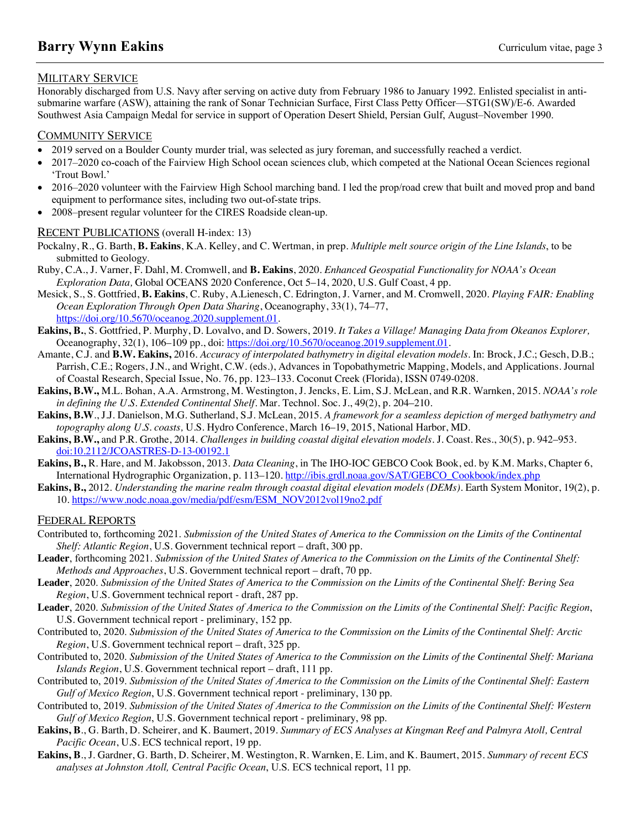## MILITARY SERVICE

Honorably discharged from U.S. Navy after serving on active duty from February 1986 to January 1992. Enlisted specialist in antisubmarine warfare (ASW), attaining the rank of Sonar Technician Surface, First Class Petty Officer—STG1(SW)/E-6. Awarded Southwest Asia Campaign Medal for service in support of Operation Desert Shield, Persian Gulf, August–November 1990.

## COMMUNITY SERVICE

- 2019 served on a Boulder County murder trial, was selected as jury foreman, and successfully reached a verdict.
- 2017–2020 co-coach of the Fairview High School ocean sciences club, which competed at the National Ocean Sciences regional 'Trout Bowl.'
- 2016–2020 volunteer with the Fairview High School marching band. I led the prop/road crew that built and moved prop and band equipment to performance sites, including two out-of-state trips.
- 2008–present regular volunteer for the CIRES Roadside clean-up.

## RECENT PUBLICATIONS (overall H-index: 13)

- Pockalny, R., G. Barth, **B. Eakins**, K.A. Kelley, and C. Wertman, in prep. *Multiple melt source origin of the Line Islands*, to be submitted to Geology.
- Ruby, C.A., J. Varner, F. Dahl, M. Cromwell, and **B. Eakins**, 2020. *Enhanced Geospatial Functionality for NOAA's Ocean Exploration Data,* Global OCEANS 2020 Conference, Oct 5–14, 2020, U.S. Gulf Coast, 4 pp.
- Mesick, S., S. Gottfried, **B. Eakins**, C. Ruby, A.Lienesch, C. Edrington, J. Varner, and M. Cromwell, 2020. *Playing FAIR: Enabling Ocean Exploration Through Open Data Sharing*, Oceanography, 33(1), 74–77, https://doi.org/10.5670/oceanog.2020.supplement.01.
- **Eakins, B.**, S. Gottfried, P. Murphy, D. Lovalvo, and D. Sowers, 2019. *It Takes a Village! Managing Data from Okeanos Explorer,* Oceanography, 32(1), 106–109 pp., doi: https://doi.org/10.5670/oceanog.2019.supplement.01.
- Amante, C.J. and **B.W. Eakins,** 2016. *Accuracy of interpolated bathymetry in digital elevation models*. In: Brock, J.C.; Gesch, D.B.; Parrish, C.E.; Rogers, J.N., and Wright, C.W. (eds.), Advances in Topobathymetric Mapping, Models, and Applications. Journal of Coastal Research, Special Issue, No. 76, pp. 123–133. Coconut Creek (Florida), ISSN 0749-0208.
- **Eakins, B.W.,** M.L. Bohan, A.A. Armstrong, M. Westington, J. Jencks, E. Lim, S.J. McLean, and R.R. Warnken, 2015. *NOAA's role in defining the U.S. Extended Continental Shelf*. Mar. Technol. Soc. J., 49(2), p. 204–210.
- **Eakins, B.W**., J.J. Danielson, M.G. Sutherland, S.J. McLean, 2015. *A framework for a seamless depiction of merged bathymetry and topography along U.S. coasts,* U.S. Hydro Conference, March 16–19, 2015, National Harbor, MD.
- **Eakins, B.W.,** and P.R. Grothe, 2014. *Challenges in building coastal digital elevation models*. J. Coast. Res., 30(5), p. 942–953. doi:10.2112/JCOASTRES-D-13-00192.1
- **Eakins, B.,** R. Hare, and M. Jakobsson, 2013. *Data Cleaning*, in The IHO-IOC GEBCO Cook Book, ed. by K.M. Marks, Chapter 6, International Hydrographic Organization, p. 113–120. http://ibis.grdl.noaa.gov/SAT/GEBCO\_Cookbook/index.php
- **Eakins, B.,** 2012. *Understanding the marine realm through coastal digital elevation models (DEMs)*. Earth System Monitor, 19(2), p. 10. https://www.nodc.noaa.gov/media/pdf/esm/ESM\_NOV2012vol19no2.pdf

## FEDERAL REPORTS

- Contributed to, forthcoming 2021. *Submission of the United States of America to the Commission on the Limits of the Continental Shelf: Atlantic Region*, U.S. Government technical report – draft, 300 pp.
- **Leader**, forthcoming 2021. *Submission of the United States of America to the Commission on the Limits of the Continental Shelf: Methods and Approaches*, U.S. Government technical report – draft, 70 pp.
- **Leader**, 2020. *Submission of the United States of America to the Commission on the Limits of the Continental Shelf: Bering Sea Region*, U.S. Government technical report - draft, 287 pp.
- **Leader**, 2020. *Submission of the United States of America to the Commission on the Limits of the Continental Shelf: Pacific Region*, U.S. Government technical report - preliminary, 152 pp.
- Contributed to, 2020. *Submission of the United States of America to the Commission on the Limits of the Continental Shelf: Arctic Region*, U.S. Government technical report – draft, 325 pp.
- Contributed to, 2020. *Submission of the United States of America to the Commission on the Limits of the Continental Shelf: Mariana Islands Region*, U.S. Government technical report – draft, 111 pp.
- Contributed to, 2019. *Submission of the United States of America to the Commission on the Limits of the Continental Shelf: Eastern Gulf of Mexico Region*, U.S. Government technical report - preliminary, 130 pp.
- Contributed to, 2019. *Submission of the United States of America to the Commission on the Limits of the Continental Shelf: Western Gulf of Mexico Region*, U.S. Government technical report - preliminary, 98 pp.
- **Eakins, B**., G. Barth, D. Scheirer, and K. Baumert, 2019. *Summary of ECS Analyses at Kingman Reef and Palmyra Atoll, Central Pacific Ocean*, U.S. ECS technical report, 19 pp.
- **Eakins, B**., J. Gardner, G. Barth, D. Scheirer, M. Westington, R. Warnken, E. Lim, and K. Baumert, 2015. *Summary of recent ECS analyses at Johnston Atoll, Central Pacific Ocean*, U.S. ECS technical report, 11 pp.